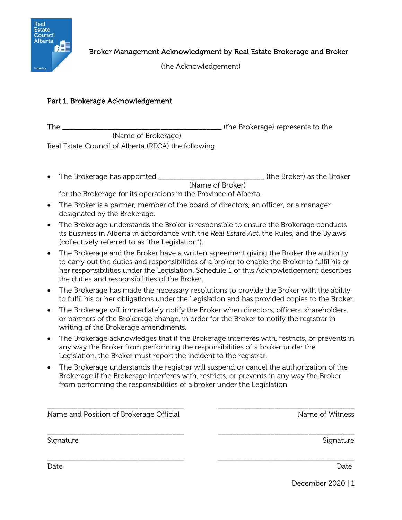

(the Acknowledgement)

## Part 1. Brokerage Acknowledgement

The \_\_\_\_\_\_\_\_\_\_\_\_\_\_\_\_\_\_\_\_\_\_\_\_\_\_\_\_\_\_\_\_\_\_\_\_\_\_\_\_\_\_ (the Brokerage) represents to the (Name of Brokerage)

Real Estate Council of Alberta (RECA) the following:

• The Brokerage has appointed \_\_\_\_\_\_\_\_\_\_\_\_\_\_\_\_\_\_\_\_\_\_\_\_\_\_\_\_ (the Broker) as the Broker (Name of Broker)

for the Brokerage for its operations in the Province of Alberta.

- The Broker is a partner, member of the board of directors, an officer, or a manager designated by the Brokerage.
- The Brokerage understands the Broker is responsible to ensure the Brokerage conducts its business in Alberta in accordance with the *Real Estate Act*, the Rules, and the Bylaws (collectively referred to as "the Legislation").
- The Brokerage and the Broker have a written agreement giving the Broker the authority to carry out the duties and responsibilities of a broker to enable the Broker to fulfil his or her responsibilities under the Legislation. Schedule 1 of this Acknowledgement describes the duties and responsibilities of the Broker.
- The Brokerage has made the necessary resolutions to provide the Broker with the ability to fulfil his or her obligations under the Legislation and has provided copies to the Broker.
- The Brokerage will immediately notify the Broker when directors, officers, shareholders, or partners of the Brokerage change, in order for the Broker to notify the registrar in writing of the Brokerage amendments.
- The Brokerage acknowledges that if the Brokerage interferes with, restricts, or prevents in any way the Broker from performing the responsibilities of a broker under the Legislation, the Broker must report the incident to the registrar.
- The Brokerage understands the registrar will suspend or cancel the authorization of the Brokerage if the Brokerage interferes with, restricts, or prevents in any way the Broker from performing the responsibilities of a broker under the Legislation.

\_\_\_\_\_\_\_\_\_\_\_\_\_\_\_\_\_\_\_\_\_\_\_\_\_\_\_\_\_\_\_\_\_\_\_\_ \_\_\_\_\_\_\_\_\_\_\_\_\_\_\_\_\_\_\_\_\_\_\_\_\_\_\_\_\_\_\_\_\_\_\_\_

\_\_\_\_\_\_\_\_\_\_\_\_\_\_\_\_\_\_\_\_\_\_\_\_\_\_\_\_\_\_\_\_\_\_\_\_ \_\_\_\_\_\_\_\_\_\_\_\_\_\_\_\_\_\_\_\_\_\_\_\_\_\_\_\_\_\_\_\_\_\_\_\_ Name and Position of Brokerage Official Name of Witness Name of Witness

\_\_\_\_\_\_\_\_\_\_\_\_\_\_\_\_\_\_\_\_\_\_\_\_\_\_\_\_\_\_\_\_\_\_\_\_ \_\_\_\_\_\_\_\_\_\_\_\_\_\_\_\_\_\_\_\_\_\_\_\_\_\_\_\_\_\_\_\_\_\_\_\_ Signature Signature Signature Signature Signature Signature Signature Signature Signature

Date Date

December 2020 | 1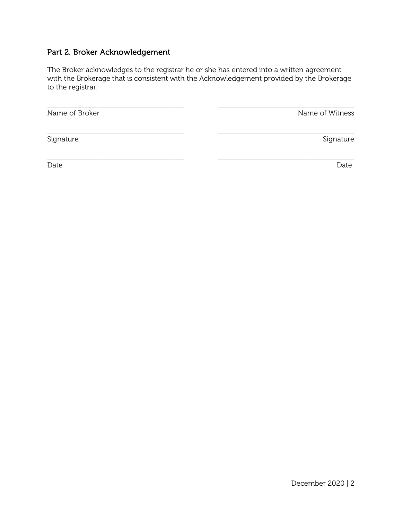## Part 2. Broker Acknowledgement

The Broker acknowledges to the registrar he or she has entered into a written agreement with the Brokerage that is consistent with the Acknowledgement provided by the Brokerage to the registrar.

\_\_\_\_\_\_\_\_\_\_\_\_\_\_\_\_\_\_\_\_\_\_\_\_\_\_\_\_\_\_\_\_\_\_\_\_ \_\_\_\_\_\_\_\_\_\_\_\_\_\_\_\_\_\_\_\_\_\_\_\_\_\_\_\_\_\_\_\_\_\_\_\_

Name of Broker Name of Broker Name of Witness and Allen Name of Witness Name of Witness Name of Witness Name of Witness Name of Witness Name of Witness Name of Witness Name of Witness Name of Witness Name of Witness Name o

\_\_\_\_\_\_\_\_\_\_\_\_\_\_\_\_\_\_\_\_\_\_\_\_\_\_\_\_\_\_\_\_\_\_\_\_ \_\_\_\_\_\_\_\_\_\_\_\_\_\_\_\_\_\_\_\_\_\_\_\_\_\_\_\_\_\_\_\_\_\_\_\_ Signature Signature Signature Signature Signature Signature Signature Signature Signature

Date Date

\_\_\_\_\_\_\_\_\_\_\_\_\_\_\_\_\_\_\_\_\_\_\_\_\_\_\_\_\_\_\_\_\_\_\_\_ \_\_\_\_\_\_\_\_\_\_\_\_\_\_\_\_\_\_\_\_\_\_\_\_\_\_\_\_\_\_\_\_\_\_\_\_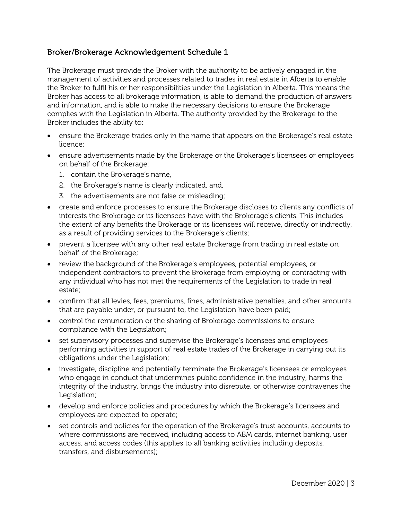## Broker/Brokerage Acknowledgement Schedule 1

The Brokerage must provide the Broker with the authority to be actively engaged in the management of activities and processes related to trades in real estate in Alberta to enable the Broker to fulfil his or her responsibilities under the Legislation in Alberta. This means the Broker has access to all brokerage information, is able to demand the production of answers and information, and is able to make the necessary decisions to ensure the Brokerage complies with the Legislation in Alberta. The authority provided by the Brokerage to the Broker includes the ability to:

- ensure the Brokerage trades only in the name that appears on the Brokerage's real estate licence;
- ensure advertisements made by the Brokerage or the Brokerage's licensees or employees on behalf of the Brokerage:
	- 1. contain the Brokerage's name,
	- 2. the Brokerage's name is clearly indicated, and,
	- 3. the advertisements are not false or misleading;
- create and enforce processes to ensure the Brokerage discloses to clients any conflicts of interests the Brokerage or its licensees have with the Brokerage's clients. This includes the extent of any benefits the Brokerage or its licensees will receive, directly or indirectly, as a result of providing services to the Brokerage's clients;
- prevent a licensee with any other real estate Brokerage from trading in real estate on behalf of the Brokerage;
- review the background of the Brokerage's employees, potential employees, or independent contractors to prevent the Brokerage from employing or contracting with any individual who has not met the requirements of the Legislation to trade in real estate;
- confirm that all levies, fees, premiums, fines, administrative penalties, and other amounts that are payable under, or pursuant to, the Legislation have been paid;
- control the remuneration or the sharing of Brokerage commissions to ensure compliance with the Legislation;
- set supervisory processes and supervise the Brokerage's licensees and employees performing activities in support of real estate trades of the Brokerage in carrying out its obligations under the Legislation;
- investigate, discipline and potentially terminate the Brokerage's licensees or employees who engage in conduct that undermines public confidence in the industry, harms the integrity of the industry, brings the industry into disrepute, or otherwise contravenes the Legislation;
- develop and enforce policies and procedures by which the Brokerage's licensees and employees are expected to operate;
- set controls and policies for the operation of the Brokerage's trust accounts, accounts to where commissions are received, including access to ABM cards, internet banking, user access, and access codes (this applies to all banking activities including deposits, transfers, and disbursements);